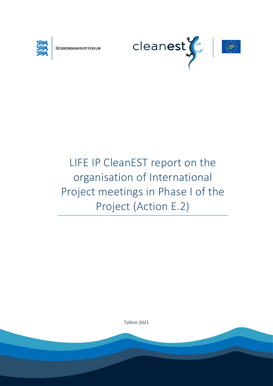

KESKKONNAMINISTEERIUM

Report is prepared by LIGE



# LIFE IP CleanEST report on the organisation of International Project meetings in Phase I of the Project (Action E.2)

Tallinn 2021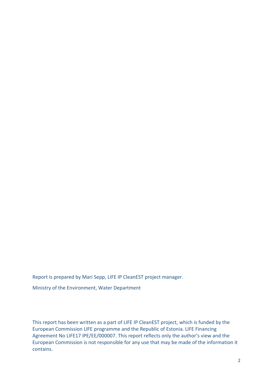Report is prepared by Mari Sepp, LIFE IP CleanEST project manager.

Ministry of the Environment, Water Department

This report has been written as a part of LIFE IP CleanEST project, which is funded by the European Commission LIFE programme and the Republic of Estonia. LIFE Financing Agreement No LIFE17 IPE/EE/000007. This report reflects only the author's view and the European Commission is not responsible for any use that may be made of the information it contains.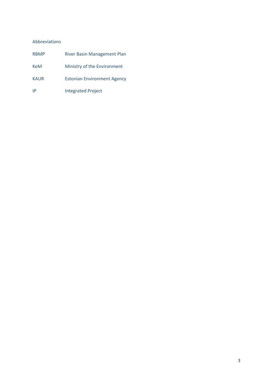#### Abbreviations

| <b>RBMP</b> | <b>River Basin Management Plan</b> |
|-------------|------------------------------------|
| <b>KeM</b>  | Ministry of the Environment        |
| <b>KAUR</b> | <b>Estonian Environment Agency</b> |
| IP          | <b>Integrated Project</b>          |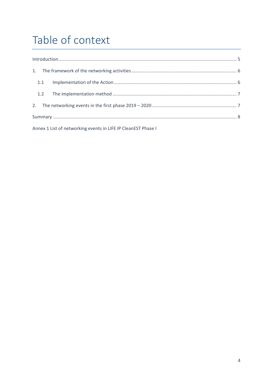## Table of context

| 1.1 |  |  |  |  |  |
|-----|--|--|--|--|--|
|     |  |  |  |  |  |
|     |  |  |  |  |  |
|     |  |  |  |  |  |

Annex 1 List of networking events in LIFE IP CleanEST Phase I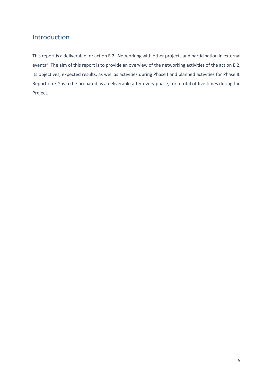## <span id="page-4-0"></span>Introduction

This report is a deliverable for action E.2 "Networking with other projects and participation in external events". The aim of this report is to provide an overview of the networking activities of the action E.2, its objectives, expected results, as well as activities during Phase I and planned activities for Phase II. Report on E.2 is to be prepared as a deliverable after every phase, for a total of five times during the Project.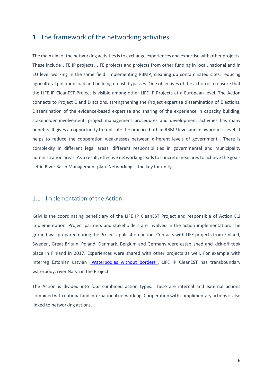## <span id="page-5-0"></span>1. The framework of the networking activities

The main aim of the networking activities is to exchange experiences and expertise with other projects. These include LIFE IP projects, LIFE projects and projects from other funding in local, national and in EU level working in the same field: implementing RBMP, cleaning up contaminated sites, reducing agricultural pollution load and building up fish bypasses. One objectives of the action is to ensure that the LIFE IP CleanEST Project is visible among other LIFE IP Projects at a European level. The Action connects to Project C and D actions, strengthening the Project expertise dissemination of E actions. Dissemination of the evidence-based expertise and sharing of the experience in capacity building, stakeholder involvement, project management procedures and development activities has many benefits. It gives an opportunity to replicate the practice both in RBMP level and in awareness level. It helps to reduce the cooperation weaknesses between different levels of government. There is complexity in different legal areas, different responsibilities in governmental and municipality administration areas. As a result, effective networking leads to concrete measures to achieve the goals set in River Basin Management plan. Networking is the key for unity.

#### <span id="page-5-1"></span>1.1 Implementation of the Action

KeM is the coordinating beneficiary of the LIFE IP CleanEST Project and responsible of Action E.2 implementation. Project partners and stakeholders are involved in the action implementation. The ground was prepared during the Project application period. Contacts with LIFE projects from Finland, Sweden, Great Britain, Poland, Denmark, Belgium and Germany were established and kick-off took place in Finland in 2017. Experiences were shared with other projects as well. For example with Interreg Estonian Latvian ["Waterbodies without borders".](https://www.keskkonnaagentuur.ee/et/eesmargid-tegevused/projektid/est-lat-66-water-bodies-without-borders) LIFE IP CleanEST has transboundary waterbody, river Narva in the Project.

The Action is divided into four combined action types. These are internal and external actions combined with national and International networking. Cooperation with complimentary actions is also linked to networking actions.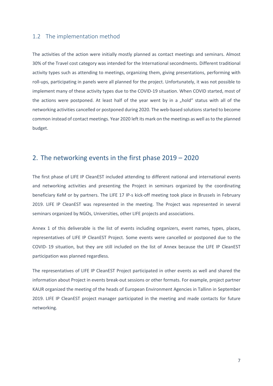#### <span id="page-6-0"></span>1.2 The implementation method

The activities of the action were initially mostly planned as contact meetings and seminars. Almost 30% of the Travel cost category was intended for the International secondments. Different traditional activity types such as attending to meetings, organizing them, giving presentations, performing with roll-ups, participating in panels were all planned for the project. Unfortunately, it was not possible to implement many of these activity types due to the COVID-19 situation. When COVID started, most of the actions were postponed. At least half of the year went by in a "hold" status with all of the networking activities cancelled or postponed during 2020. The web-based solutions started to become common instead of contact meetings. Year 2020 left its mark on the meetings as well as to the planned budget.

#### <span id="page-6-1"></span>2. The networking events in the first phase 2019 – 2020

The first phase of LIFE IP CleanEST included attending to different national and international events and networking activities and presenting the Project in seminars organized by the coordinating beneficiary KeM or by partners. The LIFE 17 IP-s kick-off meeting took place in Brussels in February 2019. LIFE IP CleanEST was represented in the meeting. The Project was represented in several seminars organized by NGOs, Universities, other LIFE projects and associations.

Annex 1 of this deliverable is the list of events including organizers, event names, types, places, representatives of LIFE IP CleanEST Project. Some events were cancelled or postponed due to the COVID- 19 situation, but they are still included on the list of Annex because the LIFE IP CleanEST participation was planned regardless.

The representatives of LIFE IP CleanEST Project participated in other events as well and shared the information about Project in events break-out sessions or other formats. For example, project partner KAUR organized the meeting of the heads of European Environment Agencies in Tallinn in September 2019. LIFE IP CleanEST project manager participated in the meeting and made contacts for future networking.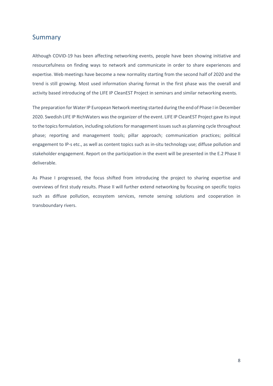### <span id="page-7-0"></span>Summary

Although COVID-19 has been affecting networking events, people have been showing initiative and resourcefulness on finding ways to network and communicate in order to share experiences and expertise. Web meetings have become a new normality starting from the second half of 2020 and the trend is still growing. Most used information sharing format in the first phase was the overall and activity based introducing of the LIFE IP CleanEST Project in seminars and similar networking events.

The preparation for Water IP European Network meeting started during the end of Phase I in December 2020. Swedish LIFE IP RichWaters wasthe organizer of the event. LIFE IP CleanEST Project gave its input to the topics formulation, including solutions for management issues such as planning cycle throughout phase; reporting and management tools; pillar approach; communication practices; political engagement to IP-s etc., as well as content topics such as in-situ technology use; diffuse pollution and stakeholder engagement. Report on the participation in the event will be presented in the E.2 Phase II deliverable.

As Phase I progressed, the focus shifted from introducing the project to sharing expertise and overviews of first study results. Phase II will further extend networking by focusing on specific topics such as diffuse pollution, ecosystem services, remote sensing solutions and cooperation in transboundary rivers.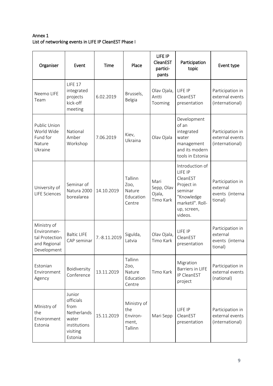### Annex 1 List of networking events in LIFE IP CleanEST Phase I

| Organiser                                                                   | Event                                                                                      | Time         | Place                                              | LIFE IP<br>CleanEST<br>partici-<br>pants  | Participation<br>topic                                                                                                      | Event type                                                 |
|-----------------------------------------------------------------------------|--------------------------------------------------------------------------------------------|--------------|----------------------------------------------------|-------------------------------------------|-----------------------------------------------------------------------------------------------------------------------------|------------------------------------------------------------|
| Neemo LIFE<br>Team                                                          | <b>LIFE 17</b><br>integrated<br>projects<br>kick-off<br>meeting                            | 6.02.2019    | Brussels,<br>Belgia                                | Olav Ojala,<br>Antti<br>Tooming           | LIFE IP<br>CleanEST<br>presentation                                                                                         | Participation in<br>external events<br>(international)     |
| Public Union<br>World Wide<br>Fund for<br>Nature<br>Ukraine                 | National<br>Amber<br>Workshop                                                              | 7.06.2019    | Kiev,<br>Ukraina                                   | Olav Ojala                                | Development<br>of an<br>integrated<br>water<br>management<br>and its modern<br>tools in Estonia                             | Participation in<br>external events<br>(international)     |
| University of<br><b>LIFE Sciences</b>                                       | Seminar of<br>Natura 2000<br>borealarea                                                    | 14.10.2019   | Tallinn<br>Zoo,<br>Nature<br>Education<br>Centre   | Mari<br>Sepp, Olav<br>Ojala,<br>Timo Kark | Introduction of<br>LIFE IP<br>CleanEST<br>Project in<br>seminar<br>"Knowledge<br>marketil". Roll-<br>up, screen,<br>videos. | Participation in<br>external<br>events (interna<br>tional) |
| Ministry of<br>Environmen-<br>tal Protection<br>and Regional<br>Development | <b>Baltic LIFE</b><br>CAP seminar                                                          | 7.-8.11.2019 | Sigulda,<br>Latvia                                 | Olav Ojala,<br>Timo Kark                  | LIFE IP<br>CleanEST<br>presentation                                                                                         | Participation in<br>external<br>events (interna<br>tional) |
| Estonian<br>Environment<br>Agency                                           | Boidiversity<br>Conference                                                                 | 13.11.2019   | Tallinn<br>Zoo,<br>Nature<br>Education<br>Centre   | Timo Kark                                 | Migration<br>Barriers in LIFE<br>IP CleanEST<br>project                                                                     | Participation in<br>external events<br>(national)          |
| MInistry of<br>the<br>Environment<br>Estonia                                | Junior<br>officials<br>from<br>Netherlands<br>water<br>institutions<br>visiting<br>Estonia | 15.11.2019   | Ministry of<br>the<br>Environ-<br>ment,<br>Tallinn | Mari Sepp                                 | LIFE IP<br>CleanEST<br>presentation                                                                                         | Participation in<br>external events<br>(international)     |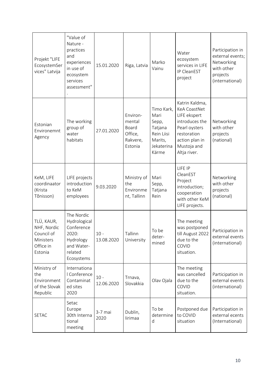| Projekt "LIFE<br>EcosystemSer<br>vices" Latvija                              | "Value of<br>Nature -<br>practices<br>and<br>experiences<br>in use of<br>ecosystem<br>services<br>assessment" | 15.01.2020           | Riga, Latvia                                                  | Marko<br>Vainu                                                                         | Water<br>ecosystem<br>services in LIFE<br>IP CleanEST<br>project                                                                                         | Participation in<br>external events;<br>Networking<br>with other<br>projects<br>(international) |
|------------------------------------------------------------------------------|---------------------------------------------------------------------------------------------------------------|----------------------|---------------------------------------------------------------|----------------------------------------------------------------------------------------|----------------------------------------------------------------------------------------------------------------------------------------------------------|-------------------------------------------------------------------------------------------------|
| Estonian<br>Environemnt<br>Agency                                            | The working<br>group of<br>water<br>habitats                                                                  | 27.01.2020           | Environ-<br>mental<br>Board<br>Office,<br>Rakvere,<br>Estonia | Timo Kark,<br>Mari<br>Sepp,<br>Tatjana<br>Rein Liisi<br>Marits,<br>Jekaterina<br>Kärme | Katrin Kaldma,<br><b>KeA CoastNet</b><br>LIFE ekspert<br>introduces the<br>Pearl oysters<br>restoration<br>action plan in<br>Mustoja and<br>Altja river. | Networking<br>with other<br>projects<br>(national)                                              |
| KeM, LIFE<br>coordinaator<br>(Krista<br>Tõnisson)                            | LIFE projects<br>introduction<br>to KeM<br>employees                                                          | 9.03.2020            | Ministry of<br>the<br>Environme<br>nt, Tallinn                | Mari<br>Sepp,<br>Tatjana<br>Rein                                                       | LIFE IP<br>CleanEST<br>Project<br>introduction;<br>cooperation<br>with other KeM<br>LIFE projects.                                                       | Networking<br>with other<br>projects<br>(national)                                              |
| TLÜ, KAUR,<br>NHF, Nordic<br>Council of<br>Ministers<br>Office in<br>Estonia | The Nordic<br>Hydrological<br>Conference<br>2020:<br>Hydrology<br>and Water-<br>related<br>Ecosystems         | $10 -$<br>13.08.2020 | Tallinn<br>University                                         | To be<br>deter-<br>mined                                                               | The meeting<br>was postponed<br>till August 2022<br>due to the<br>COVID<br>situation.                                                                    | Participation in<br>external events<br>(international)                                          |
| Ministry of<br>the<br>Environment<br>of the Slovak<br>Republic               | Internationa<br>I Conference<br>Contaminat<br>ed sites<br>2020                                                | $10 -$<br>12.06.2020 | Trnava,<br>Slovakkia                                          | Olav Ojala                                                                             | The meeting<br>was cancelled<br>due to the<br>COVID<br>situation.                                                                                        | Participation in<br>external events<br>(international)                                          |
| <b>SETAC</b>                                                                 | Setac<br>Europe<br>30th Interna<br>tional<br>meeting                                                          | $3-7$ mai<br>2020    | Dublin,<br>lirimaa                                            | To be<br>determine<br>d                                                                | Postponed due<br>to COVID<br>situation                                                                                                                   | Participation in<br>external ecents<br>(International)                                          |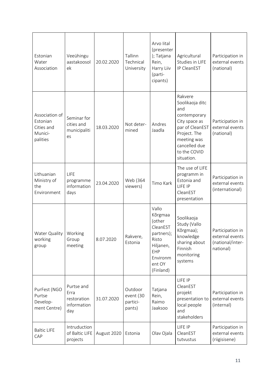| Estonian<br>Water<br>Association                                | Veeühingu<br>aastakoosol<br>ek                          | 20.02.2020  | Tallinn<br>Technical<br>University         | Arvo lital<br>(presenter<br>); Tatjana<br>Rein,<br>Harry Liiv<br>(parti-<br>cipants)                                 | Agricultural<br>Studies in LIFE<br>IP CleanEST                                                                                                                      | Participation in<br>external events<br>(national)                    |
|-----------------------------------------------------------------|---------------------------------------------------------|-------------|--------------------------------------------|----------------------------------------------------------------------------------------------------------------------|---------------------------------------------------------------------------------------------------------------------------------------------------------------------|----------------------------------------------------------------------|
| Association of<br>Estonian<br>Cities and<br>Munici-<br>palities | Seminar for<br>cities and<br>municipaliti<br>es         | 18.03.2020  | Not deter-<br>mined                        | Andres<br>Jaadla                                                                                                     | Rakvere<br>Soolikaoja ditc<br>and<br>contemporary<br>City space as<br>par of CleanEST<br>Project. The<br>meeting was<br>cancelled due<br>to the COVID<br>situation. | Participation in<br>external events<br>(national)                    |
| Lithuanian<br>Ministry of<br>the<br>Environment                 | LIFE<br>programme<br>information<br>days                | 23.04.2020  | Web (364<br>viewers)                       | Timo Kark                                                                                                            | The use of LIFE<br>programm in<br>Estonia and<br>LIFE IP<br>CleanEST<br>presentation                                                                                | Participation in<br>external events<br>(international)               |
| Water Quality<br>working<br>group                               | Working<br>Group<br>meeting                             | 8.07.2020   | Rakvere,<br>Estonia                        | Vallo<br>Kõrgmaa<br>(other<br>CleanEST<br>partners);<br>Risto<br>Hiljanen,<br>EHP<br>Environm<br>ent OY<br>(Finland) | Soolikaoja<br>Study (Vallo<br>Kõrgmaa);<br>knowledge<br>sharing about<br>Finnish<br>monitoring<br>systems                                                           | Participation in<br>external events<br>(national/inter-<br>national) |
| PurFest (NGO<br>Purtse<br>Develop-<br>ment Centre)              | Purtse and<br>Erra<br>restoration<br>information<br>day | 31.07.2020  | Outdoor<br>event (30<br>partici-<br>pants) | Tatjana<br>Rein,<br>Raimo<br>Jaaksoo                                                                                 | LIFE IP<br>CleanEST<br>projekt<br>presentation to<br>local people<br>and<br>stakeholders                                                                            | Participation in<br>external events<br>(internal)                    |
| <b>Baltic LIFE</b><br>CAP                                       | Intruduction<br>of Baltic LIFE<br>projects              | August 2020 | Estonia                                    | Olav Ojala                                                                                                           | LIFE IP<br>CleanEST<br>tutvustus                                                                                                                                    | Participation in<br>external events<br>(riigisisene)                 |